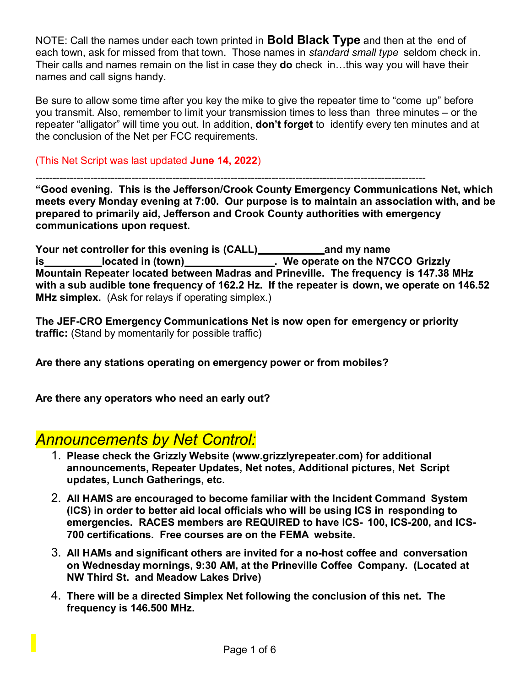NOTE: Call the names under each town printed in **Bold Black Type** and then at the end of each town, ask for missed from that town. Those names in *standard small type* seldom check in. Their calls and names remain on the list in case they **do** check in…this way you will have their names and call signs handy.

Be sure to allow some time after you key the mike to give the repeater time to "come up" before you transmit. Also, remember to limit your transmission times to less than three minutes – or the repeater "alligator" will time you out. In addition, **don't forget** to identify every ten minutes and at the conclusion of the Net per FCC requirements.

(This Net Script was last updated **June 14, 2022**)

------------------------------------------------------------------------------------------------------------------

**"Good evening. This is the Jefferson/Crook County Emergency Communications Net, which meets every Monday evening at 7:00. Our purpose is to maintain an association with, and be prepared to primarily aid, Jefferson and Crook County authorities with emergency communications upon request.**

**Your net controller for this evening is (CALL) and my name is located in (town) . We operate on the N7CCO Grizzly Mountain Repeater located between Madras and Prineville. The frequency is 147.38 MHz with a sub audible tone frequency of 162.2 Hz. If the repeater is down, we operate on 146.52 MHz simplex.** (Ask for relays if operating simplex.)

**The JEF-CRO Emergency Communications Net is now open for emergency or priority traffic:** (Stand by momentarily for possible traffic)

**Are there any stations operating on emergency power or from mobiles?**

**Are there any operators who need an early out?**

### *Announcements by Net Control:*

- 1. **Please check the Grizzly Website (www.grizzlyrepeater.com) for additional announcements, Repeater Updates, Net notes, Additional pictures, Net Script updates, Lunch Gatherings, etc.**
- 2. **All HAMS are encouraged to become familiar with the Incident Command System (ICS) in order to better aid local officials who will be using ICS in responding to emergencies. RACES members are REQUIRED to have ICS- 100, ICS-200, and ICS-700 certifications. Free courses are on the FEMA website.**
- 3. **All HAMs and significant others are invited for a no-host coffee and conversation on Wednesday mornings, 9:30 AM, at the Prineville Coffee Company. (Located at NW Third St. and Meadow Lakes Drive)**
- 4. **There will be a directed Simplex Net following the conclusion of this net. The frequency is 146.500 MHz.**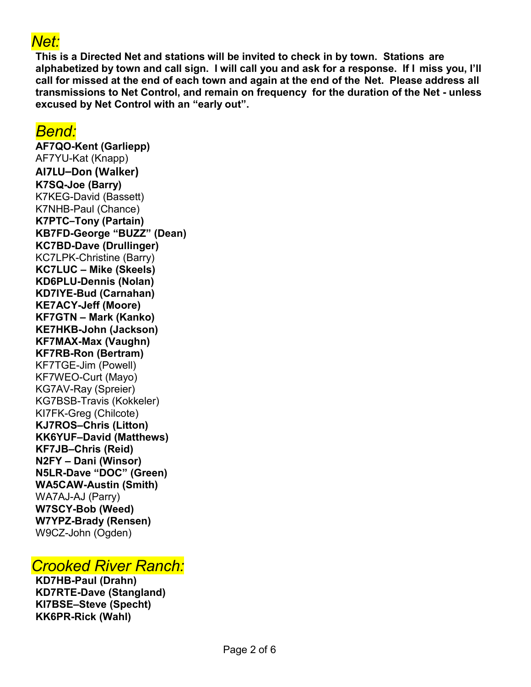# *Net:*

**This is a Directed Net and stations will be invited to check in by town. Stations are alphabetized by town and call sign. I will call you and ask for a response. If I miss you, I'll call for missed at the end of each town and again at the end of the Net. Please address all transmissions to Net Control, and remain on frequency for the duration of the Net - unless excused by Net Control with an "early out".**

#### *Bend:*

**AF7QO-Kent (Garliepp)**  AF7YU-Kat (Knapp) **AI7LU–Don (Walker) K7SQ-Joe (Barry)**  K7KEG-David (Bassett) K7NHB-Paul (Chance) **K7PTC–Tony (Partain) KB7FD-George "BUZZ" (Dean) KC7BD-Dave (Drullinger)** KC7LPK-Christine (Barry) **KC7LUC – Mike (Skeels) KD6PLU-Dennis (Nolan) KD7IYE-Bud (Carnahan) KE7ACY-Jeff (Moore) KF7GTN – Mark (Kanko) KE7HKB-John (Jackson) KF7MAX-Max (Vaughn) KF7RB-Ron (Bertram)** KF7TGE-Jim (Powell) KF7WEO-Curt (Mayo) KG7AV-Ray (Spreier) KG7BSB-Travis (Kokkeler) KI7FK-Greg (Chilcote) **KJ7ROS–Chris (Litton) KK6YUF–David (Matthews) KF7JB–Chris (Reid) N2FY – Dani (Winsor) N5LR-Dave "DOC" (Green) WA5CAW-Austin (Smith)** WA7AJ-AJ (Parry) **W7SCY-Bob (Weed) W7YPZ-Brady (Rensen)** W9CZ-John (Ogden)

## *Crooked River Ranch:*

**KD7HB-Paul (Drahn) KD7RTE-Dave (Stangland) KI7BSE–Steve (Specht) KK6PR-Rick (Wahl)**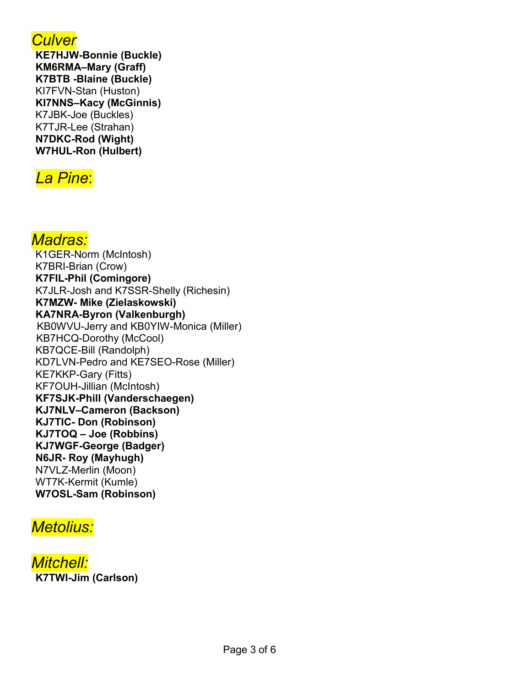

**KE7HJW-Bonnie (Buckle) KM6RMA–Mary (Graff) K7BTB -Blaine (Buckle)** KI7FVN-Stan (Huston) **KI7NNS–Kacy (McGinnis)** K7JBK-Joe (Buckles) K7TJR-Lee (Strahan) **N7DKC-Rod (Wight) W7HUL-Ron (Hulbert)**

# *La Pine*:

### *Madras:*

K1GER-Norm (McIntosh) K7BRI-Brian (Crow) **K7FIL-Phil (Comingore)** K7JLR-Josh and K7SSR-Shelly (Richesin) **K7MZW- Mike (Zielaskowski) KA7NRA-Byron (Valkenburgh)** KB0WVU-Jerry and KB0YIW-Monica (Miller) KB7HCQ-Dorothy (McCool) KB7QCE-Bill (Randolph) KD7LVN-Pedro and KE7SEO-Rose (Miller) KE7KKP-Gary (Fitts) KF7OUH-Jillian (McIntosh) **KF7SJK-Phill (Vanderschaegen) KJ7NLV–Cameron (Backson) KJ7TIC- Don (Robinson) KJ7TOQ – Joe (Robbins) KJ7WGF-George (Badger) N6JR- Roy (Mayhugh)** N7VLZ-Merlin (Moon) WT7K-Kermit (Kumle) **W7OSL-Sam (Robinson)**

# *Metolius:*

*Mitchell:* **K7TWI-Jim (Carlson)**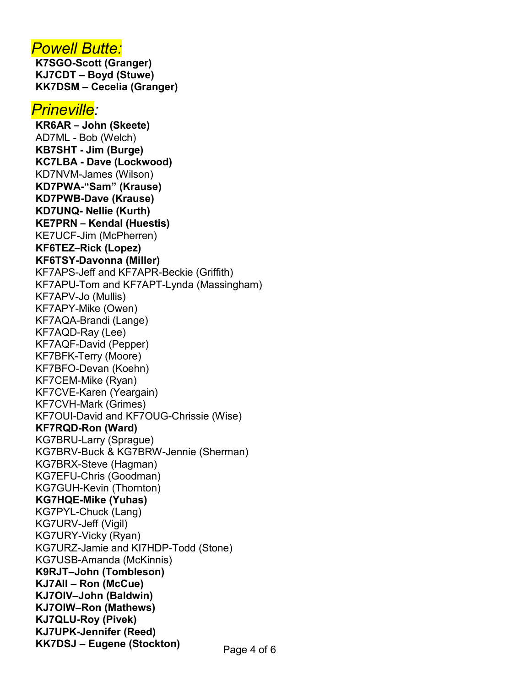#### *Powell Butte:*

**K7SGO-Scott (Granger) KJ7CDT – Boyd (Stuwe) KK7DSM – Cecelia (Granger)**

#### *Prineville:*

**KR6AR – John (Skeete)** AD7ML - Bob (Welch) **KB7SHT - Jim (Burge) KC7LBA - Dave (Lockwood)** KD7NVM-James (Wilson) **KD7PWA-"Sam" (Krause) KD7PWB-Dave (Krause) KD7UNQ- Nellie (Kurth) KE7PRN – Kendal (Huestis)** KE7UCF-Jim (McPherren) **KF6TEZ–Rick (Lopez) KF6TSY-Davonna (Miller)** KF7APS-Jeff and KF7APR-Beckie (Griffith) KF7APU-Tom and KF7APT-Lynda (Massingham) KF7APV-Jo (Mullis) KF7APY-Mike (Owen) KF7AQA-Brandi (Lange) KF7AQD-Ray (Lee) KF7AQF-David (Pepper) KF7BFK-Terry (Moore) KF7BFO-Devan (Koehn) KF7CEM-Mike (Ryan) KF7CVE-Karen (Yeargain) KF7CVH-Mark (Grimes) KF7OUI-David and KF7OUG-Chrissie (Wise) **KF7RQD-Ron (Ward)** KG7BRU-Larry (Sprague) KG7BRV-Buck & KG7BRW-Jennie (Sherman) KG7BRX-Steve (Hagman) KG7EFU-Chris (Goodman) KG7GUH-Kevin (Thornton) **KG7HQE-Mike (Yuhas)**  KG7PYL-Chuck (Lang) KG7URV-Jeff (Vigil) KG7URY-Vicky (Ryan) KG7URZ-Jamie and KI7HDP-Todd (Stone) KG7USB-Amanda (McKinnis) **K9RJT–John (Tombleson) KJ7AII – Ron (McCue) KJ7OIV–John (Baldwin) KJ7OIW–Ron (Mathews) KJ7QLU-Roy (Pivek) KJ7UPK-Jennifer (Reed) KK7DSJ – Eugene (Stockton)**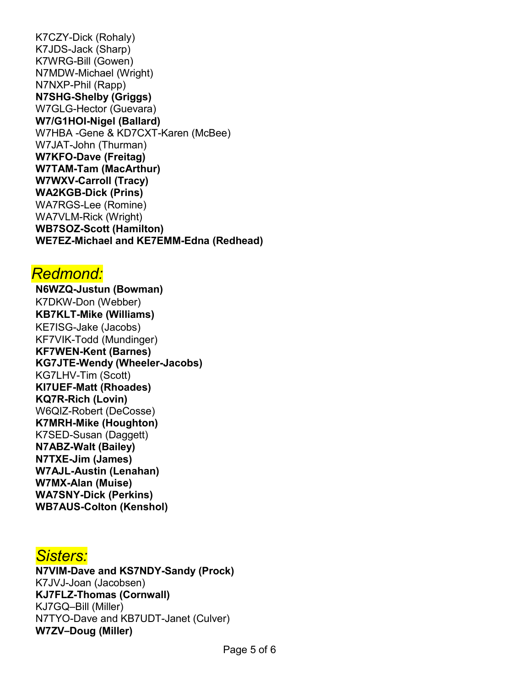K7CZY-Dick (Rohaly) K7JDS-Jack (Sharp) K7WRG-Bill (Gowen) N7MDW-Michael (Wright) N7NXP-Phil (Rapp) **N7SHG-Shelby (Griggs)** W7GLG-Hector (Guevara) **W7/G1HOI-Nigel (Ballard)** W7HBA -Gene & KD7CXT-Karen (McBee) W7JAT-John (Thurman) **W7KFO-Dave (Freitag) W7TAM-Tam (MacArthur) W7WXV-Carroll (Tracy) WA2KGB-Dick (Prins)**  WA7RGS-Lee (Romine) WA7VLM-Rick (Wright) **WB7SOZ-Scott (Hamilton) WE7EZ-Michael and KE7EMM-Edna (Redhead)**

#### *Redmond:*

**N6WZQ-Justun (Bowman)** K7DKW-Don (Webber) **KB7KLT-Mike (Williams)**  KE7ISG-Jake (Jacobs) KF7VIK-Todd (Mundinger) **KF7WEN-Kent (Barnes) KG7JTE-Wendy (Wheeler-Jacobs)** KG7LHV-Tim (Scott) **KI7UEF-Matt (Rhoades) KQ7R-Rich (Lovin)** W6QIZ-Robert (DeCosse) **K7MRH-Mike (Houghton)** K7SED-Susan (Daggett) **N7ABZ-Walt (Bailey) N7TXE-Jim (James) W7AJL-Austin (Lenahan) W7MX-Alan (Muise) WA7SNY-Dick (Perkins) WB7AUS-Colton (Kenshol)**

### *Sisters:*

**N7VIM-Dave and KS7NDY-Sandy (Prock)** K7JVJ-Joan (Jacobsen) **KJ7FLZ-Thomas (Cornwall)** KJ7GQ–Bill (Miller) N7TYO-Dave and KB7UDT-Janet (Culver) **W7ZV–Doug (Miller)**